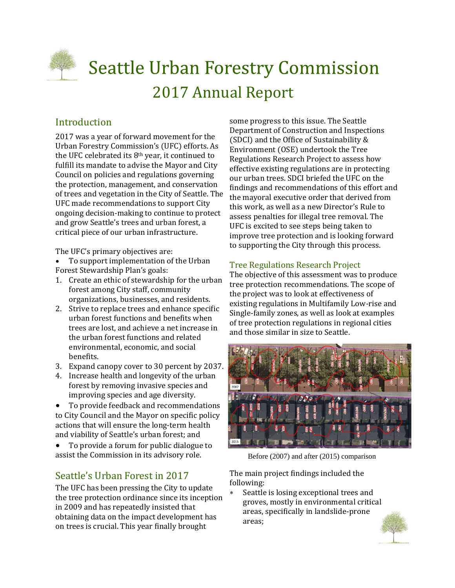

# **Seattle Urban Forestry Commission** 2017 Annual Report

# Introduction

2017 was a year of forward movement for the Urban Forestry Commission's (UFC) efforts. As the UFC celebrated its  $8<sup>th</sup>$  year, it continued to fulfill its mandate to advise the Mayor and City Council on policies and regulations governing the protection, management, and conservation of trees and vegetation in the City of Seattle. The UFC made recommendations to support City ongoing decision-making to continue to protect and grow Seattle's trees and urban forest, a critical piece of our urban infrastructure.

The UFC's primary objectives are:

- To support implementation of the Urban Forest Stewardship Plan's goals:
- 1. Create an ethic of stewardship for the urban forest among City staff, community organizations, businesses, and residents.
- 2. Strive to replace trees and enhance specific urban forest functions and benefits when trees are lost, and achieve a net increase in the urban forest functions and related environmental, economic, and social benefits.
- 3. Expand canopy cover to 30 percent by 2037.
- 4. Increase health and longevity of the urban forest by removing invasive species and improving species and age diversity.
- To provide feedback and recommendations to City Council and the Mayor on specific policy actions that will ensure the long-term health and viability of Seattle's urban forest; and
- To provide a forum for public dialogue to assist the Commission in its advisory role.

# Seattle's Urban Forest in 2017

The UFC has been pressing the City to update the tree protection ordinance since its inception in 2009 and has repeatedly insisted that obtaining data on the impact development has on trees is crucial. This year finally brought

some progress to this issue. The Seattle Department of Construction and Inspections (SDCI) and the Office of Sustainability  $&$ Environment (OSE) undertook the Tree Regulations Research Project to assess how effective existing regulations are in protecting our urban trees. SDCI briefed the UFC on the findings and recommendations of this effort and the mayoral executive order that derived from this work, as well as a new Director's Rule to assess penalties for illegal tree removal. The UFC is excited to see steps being taken to improve tree protection and is looking forward to supporting the City through this process.

## Tree Regulations Research Project

The objective of this assessment was to produce tree protection recommendations. The scope of the project was to look at effectiveness of existing regulations in Multifamily Low-rise and Single-family zones, as well as look at examples of tree protection regulations in regional cities and those similar in size to Seattle.



Before (2007) and after (2015) comparison

The main project findings included the following: 

Seattle is losing exceptional trees and groves, mostly in environmental critical areas, specifically in landslide-prone areas; 

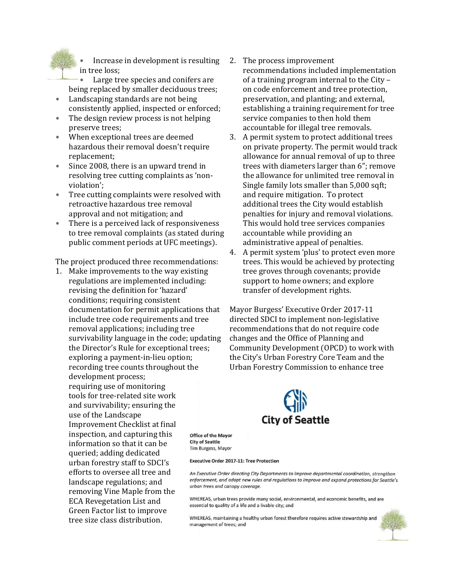Increase in development is resulting in tree loss;

Large tree species and conifers are being replaced by smaller deciduous trees;

- \* Landscaping standards are not being consistently applied, inspected or enforced;
- \* The design review process is not helping preserve trees:
- When exceptional trees are deemed hazardous their removal doesn't require replacement;
- \* Since 2008, there is an upward trend in resolving tree cutting complaints as 'nonviolation';
- \* Tree cutting complaints were resolved with retroactive hazardous tree removal approval and not mitigation; and
- There is a perceived lack of responsiveness to tree removal complaints (as stated during public comment periods at UFC meetings).

The project produced three recommendations:

1. Make improvements to the way existing regulations are implemented including: revising the definition for 'hazard' conditions; requiring consistent documentation for permit applications that include tree code requirements and tree removal applications; including tree survivability language in the code; updating the Director's Rule for exceptional trees; exploring a payment-in-lieu option; recording tree counts throughout the development process; requiring use of monitoring tools for tree-related site work and survivability; ensuring the use of the Landscape Improvement Checklist at final inspection, and capturing this information so that it can be. queried; adding dedicated urban forestry staff to SDCI's efforts to oversee all tree and landscape regulations; and removing Vine Maple from the ECA Revegetation List and Green Factor list to improve tree size class distribution.

- 2. The process improvement recommendations included implementation of a training program internal to the City – on code enforcement and tree protection, preservation, and planting; and external, establishing a training requirement for tree service companies to then hold them accountable for illegal tree removals.
- 3. A permit system to protect additional trees on private property. The permit would track allowance for annual removal of up to three trees with diameters larger than 6"; remove the allowance for unlimited tree removal in Single family lots smaller than 5,000 sqft; and require mitigation. To protect additional trees the City would establish penalties for injury and removal violations. This would hold tree services companies accountable while providing an administrative appeal of penalties.
- 4. A permit system 'plus' to protect even more trees. This would be achieved by protecting tree groves through covenants; provide support to home owners; and explore transfer of development rights.

Mayor Burgess' Executive Order 2017-11 directed SDCI to implement non-legislative recommendations that do not require code changes and the Office of Planning and Community Development (OPCD) to work with the City's Urban Forestry Core Team and the Urban Forestry Commission to enhance tree



**Office of the Mayor City of Seattle** Tim Burgess, Mayor

#### **Executive Order 2017-11: Tree Protection**

An Executive Order directing City Departments to improve departmental coordination, strengthen enforcement, and adopt new rules and regulations to improve and expand protections for Seattle's urban trees and canopy coverage.

WHEREAS, urban trees provide many social, environmental, and economic benefits, and are essential to quality of a life and a livable city; and

WHEREAS, maintaining a healthy urban forest therefore requires active stewardship and management of trees; and

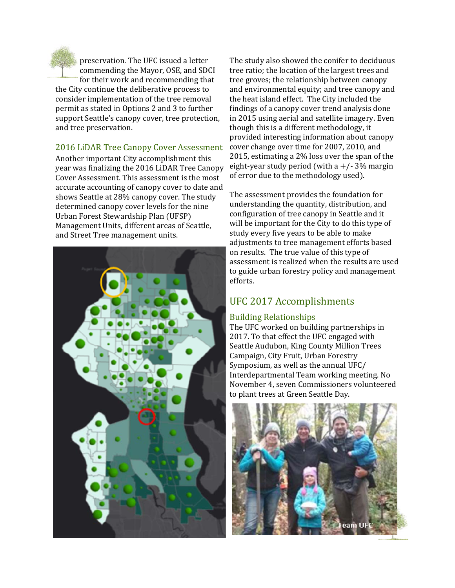

preservation. The UFC issued a letter commending the Mayor, OSE, and SDCI for their work and recommending that the City continue the deliberative process to consider implementation of the tree removal permit as stated in Options 2 and 3 to further support Seattle's canopy cover, tree protection, and tree preservation.

### 2016 LiDAR Tree Canopy Cover Assessment

Another important City accomplishment this year was finalizing the 2016 LiDAR Tree Canopy Cover Assessment. This assessment is the most accurate accounting of canopy cover to date and shows Seattle at 28% canopy cover. The study determined canopy cover levels for the nine Urban Forest Stewardship Plan (UFSP) Management Units, different areas of Seattle, and Street Tree management units.



The study also showed the conifer to deciduous tree ratio; the location of the largest trees and tree groves; the relationship between canopy and environmental equity; and tree canopy and the heat island effect. The City included the findings of a canopy cover trend analysis done in 2015 using aerial and satellite imagery. Even though this is a different methodology, it provided interesting information about canopy cover change over time for 2007, 2010, and 2015, estimating a 2% loss over the span of the eight-year study period (with a  $+/- 3\%$  margin of error due to the methodology used).

The assessment provides the foundation for understanding the quantity, distribution, and configuration of tree canopy in Seattle and it will be important for the City to do this type of study every five years to be able to make adjustments to tree management efforts based on results. The true value of this type of assessment is realized when the results are used to guide urban forestry policy and management efforts. 

# UFC 2017 Accomplishments

## Building Relationships

The UFC worked on building partnerships in 2017. To that effect the UFC engaged with Seattle Audubon, King County Million Trees Campaign, City Fruit, Urban Forestry Symposium, as well as the annual UFC/ Interdepartmental Team working meeting. No November 4, seven Commissioners volunteered to plant trees at Green Seattle Day.

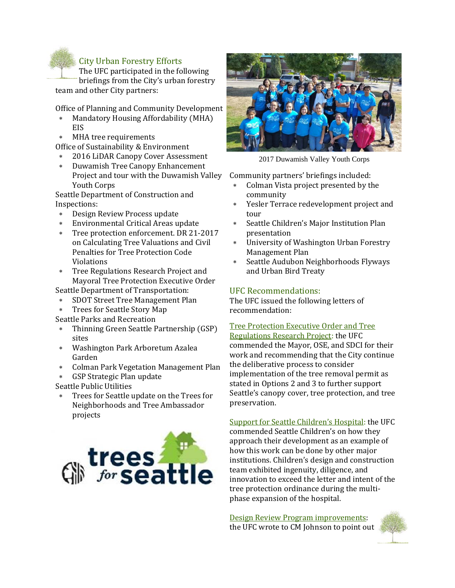# **City Urban Forestry Efforts**

The UFC participated in the following briefings from the City's urban forestry team and other City partners:

Office of Planning and Community Development

- \* Mandatory Housing Affordability (MHA) EIS
- MHA tree requirements

Office of Sustainability & Environment

- 2016 LiDAR Canopy Cover Assessment
- Duwamish Tree Canopy Enhancement Project and tour with the Duwamish Valley Youth Corps

Seattle Department of Construction and Inspections: 

- \* Design Review Process update
- Environmental Critical Areas update
- \* Tree protection enforcement. DR 21-2017 on Calculating Tree Valuations and Civil Penalties for Tree Protection Code Violations
- \* Tree Regulations Research Project and Mayoral Tree Protection Executive Order

Seattle Department of Transportation:

- SDOT Street Tree Management Plan
- \* Trees for Seattle Story Map
- Seattle Parks and Recreation
- \* Thinning Green Seattle Partnership (GSP) sites
- Washington Park Arboretum Azalea Garden
- Colman Park Vegetation Management Plan
- GSP Strategic Plan update

Seattle Public Utilities

Trees for Seattle update on the Trees for Neighborhoods and Tree Ambassador projects 





2017 Duwamish Valley Youth Corps

Community partners' briefings included:

- \* Colman Vista project presented by the community
- \* Yesler Terrace redevelopment project and tour
- \* Seattle Children's Major Institution Plan presentation
- University of Washington Urban Forestry Management Plan
- \* Seattle Audubon Neighborhoods Flyways and Urban Bird Treaty

## UFC Recommendations:

The UFC issued the following letters of recommendation: 

### Tree Protection Executive Order and Tree

Regulations Research Project: the UFC commended the Mayor, OSE, and SDCI for their work and recommending that the City continue the deliberative process to consider implementation of the tree removal permit as stated in Options 2 and 3 to further support Seattle's canopy cover, tree protection, and tree preservation. 

Support for Seattle Children's Hospital: the UFC commended Seattle Children's on how they approach their development as an example of how this work can be done by other major institutions. Children's design and construction team exhibited ingenuity, diligence, and innovation to exceed the letter and intent of the tree protection ordinance during the multiphase expansion of the hospital.

Design Review Program improvements: the UFC wrote to CM Johnson to point out

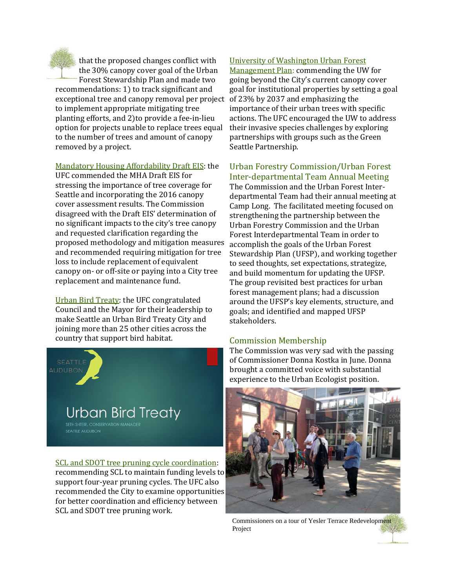

that the proposed changes conflict with the 30% canopy cover goal of the Urban Forest Stewardship Plan and made two

recommendations: 1) to track significant and exceptional tree and canopy removal per project of 23% by 2037 and emphasizing the to implement appropriate mitigating tree planting efforts, and 2) to provide a fee-in-lieu option for projects unable to replace trees equal to the number of trees and amount of canopy removed by a project.

Mandatory Housing Affordability Draft EIS: the

UFC commended the MHA Draft EIS for stressing the importance of tree coverage for Seattle and incorporating the 2016 canopy cover assessment results. The Commission disagreed with the Draft EIS' determination of no significant impacts to the city's tree canopy and requested clarification regarding the proposed methodology and mitigation measures and recommended requiring mitigation for tree loss to include replacement of equivalent canopy on- or off-site or paying into a City tree replacement and maintenance fund.

Urban Bird Treaty: the UFC congratulated Council and the Mayor for their leadership to make Seattle an Urban Bird Treaty City and joining more than 25 other cities across the country that support bird habitat.



SCL and SDOT tree pruning cycle coordination: recommending SCL to maintain funding levels to support four-year pruning cycles. The UFC also recommended the City to examine opportunities for better coordination and efficiency between SCL and SDOT tree pruning work.

## University of Washington Urban Forest

Management Plan: commending the UW for going beyond the City's current canopy cover goal for institutional properties by setting a goal importance of their urban trees with specific actions. The UFC encouraged the UW to address their invasive species challenges by exploring partnerships with groups such as the Green Seattle Partnership.

#### Urban Forestry Commission/Urban Forest Inter‐departmental Team Annual Meeting

The Commission and the Urban Forest Interdepartmental Team had their annual meeting at Camp Long. The facilitated meeting focused on strengthening the partnership between the Urban Forestry Commission and the Urban Forest Interdepartmental Team in order to accomplish the goals of the Urban Forest Stewardship Plan (UFSP), and working together to seed thoughts, set expectations, strategize, and build momentum for updating the UFSP. The group revisited best practices for urban forest management plans; had a discussion around the UFSP's key elements, structure, and goals; and identified and mapped UFSP stakeholders. 

### Commission Membership

The Commission was very sad with the passing of Commissioner Donna Kostka in June. Donna brought a committed voice with substantial experience to the Urban Ecologist position.



Commissioners on a tour of Yesler Terrace Redevelopment Project